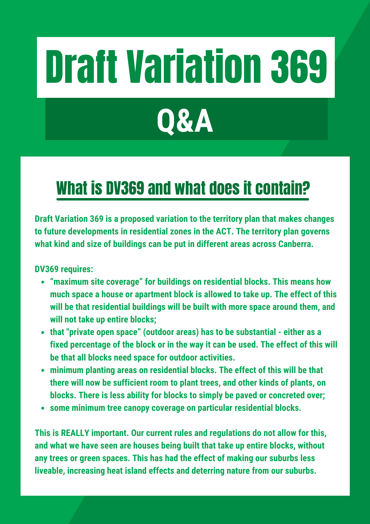# Draft Variation 369

# **Q&A**

### What is DV369 and what does it contain?

**Draft Variation 369 is a proposed variation to the territory plan that makes changes to future developments in residential zones in the ACT. The territory plan governs what kind and size of buildings can be put in different areas across Canberra.**

**DV369 requires:**

- **"maximum site coverage" for buildings on residential blocks. This means how much space a house or apartment block is allowed to take up. The effect of this will be that residential buildings will be built with more space around them, and will not take up entire blocks;**
- **that "private open space" (outdoor areas) has to be substantial - either as a fixed percentage of the block or in the way it can be used. The effect of this will be that all blocks need space for outdoor activities.**
- **minimum planting areas on residential blocks. The effect of this will be that there will now be sufficient room to plant trees, and other kinds of plants, on blocks. There is less ability for blocks to simply be paved or concreted over;**
- **some minimum tree canopy coverage on particular residential blocks.**

**This is REALLY important. Our current rules and regulations do not allow for this, and what we have seen are houses being built that take up entire blocks, without any trees or green spaces. This has had the effect of making our suburbs less liveable, increasing heat island effects and deterring nature from our suburbs.**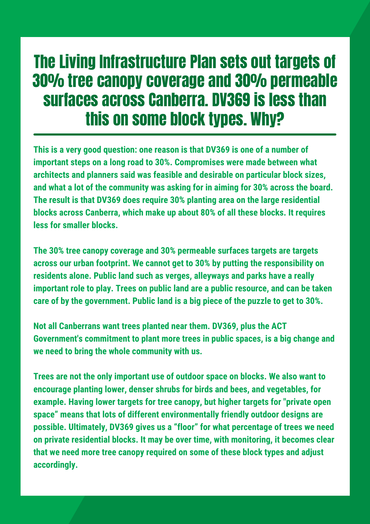#### The Living Infrastructure Plan sets out targets of 30% tree canopy coverage and 30% permeable surfaces across Canberra. DV369 is less than this on some block types. Why?

**This is a very good question: one reason is that DV369 is one of a number of important steps on a long road to 30%. Compromises were made between what architects and planners said was feasible and desirable on particular block sizes, and what a lot of the community was asking for in aiming for 30% across the board. The result is that DV369 does require 30% planting area on the large residential blocks across Canberra, which make up about 80% of all these blocks. It requires less for smaller blocks.**

**The 30% tree canopy coverage and 30% permeable surfaces targets are targets across our urban footprint. We cannot get to 30% by putting the responsibility on residents alone. Public land such as verges, alleyways and parks have a really important role to play. Trees on public land are a public resource, and can be taken care of by the government. Public land is a big piece of the puzzle to get to 30%.**

**Not all Canberrans want trees planted near them. DV369, plus the ACT Government's commitment to plant more trees in public spaces, is a big change and we need to bring the whole community with us.**

**Trees are not the only important use of outdoor space on blocks. We also want to encourage planting lower, denser shrubs for birds and bees, and vegetables, for example. Having lower targets for tree canopy, but higher targets for "private open space" means that lots of different environmentally friendly outdoor designs are possible. Ultimately, DV369 gives us a "floor" for what percentage of trees we need on private residential blocks. It may be over time, with monitoring, it becomes clear that we need more tree canopy required on some of these block types and adjust accordingly.**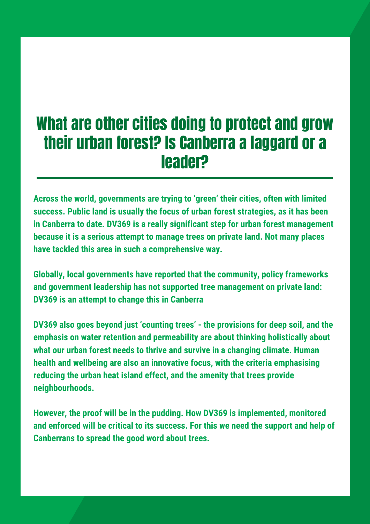#### What are other cities doing to protect and grow their urban forest? Is Canberra a laggard or a leader?

**Across the world, governments are trying to 'green' their cities, often with limited success. Public land is usually the focus of urban forest strategies, as it has been in Canberra to date. DV369 is a really significant step for urban forest management because it is a serious attempt to manage trees on private land. Not many places have tackled this area in such a comprehensive way.**

**Globally, local governments have reported that the community, policy frameworks and government leadership has not supported tree management on private land: DV369 is an attempt to change this in Canberra**

**DV369 also goes beyond just 'counting trees' - the provisions for deep soil, and the emphasis on water retention and permeability are about thinking holistically about what our urban forest needs to thrive and survive in a changing climate. Human health and wellbeing are also an innovative focus, with the criteria emphasising reducing the urban heat island effect, and the amenity that trees provide neighbourhoods.**

**However, the proof will be in the pudding. How DV369 is implemented, monitored and enforced will be critical to its success. For this we need the support and help of Canberrans to spread the good word about trees.**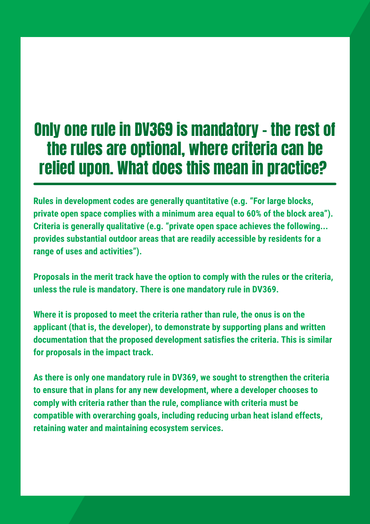#### Only one rule in DV369 is mandatory – the rest of the rules are optional, where criteria can be relied upon. What does this mean in practice?

**Rules in development codes are generally quantitative (e.g. "For large blocks, private open space complies with a minimum area equal to 60% of the block area"). Criteria is generally qualitative (e.g. "private open space achieves the following... provides substantial outdoor areas that are readily accessible by residents for a range of uses and activities").**

**Proposals in the merit track have the option to comply with the rules or the criteria, unless the rule is mandatory. There is one mandatory rule in DV369.**

**Where it is proposed to meet the criteria rather than rule, the onus is on the applicant (that is, the developer), to demonstrate by supporting plans and written documentation that the proposed development satisfies the criteria. This is similar for proposals in the impact track.**

**As there is only one mandatory rule in DV369, we sought to strengthen the criteria to ensure that in plans for any new development, where a developer chooses to comply with criteria rather than the rule, compliance with criteria must be compatible with overarching goals, including reducing urban heat island effects, retaining water and maintaining ecosystem services.**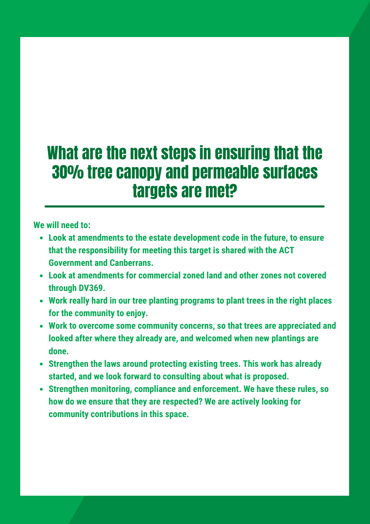#### What are the next steps in ensuring that the 30% tree canopy and permeable surfaces targets are met?

**We will need to:**

- **Look at amendments to the estate development code in the future, to ensure that the responsibility for meeting this target is shared with the ACT Government and Canberrans.**
- **Look at amendments for commercial zoned land and other zones not covered through DV369.**
- **Work really hard in our tree planting programs to plant trees in the right places for the community to enjoy.**
- **Work to overcome some community concerns, so that trees are appreciated and looked after where they already are, and welcomed when new plantings are done.**
- **Strengthen the laws around protecting existing trees. This work has already started, and we look forward to consulting about what is proposed.**
- **Strengthen monitoring, compliance and enforcement. We have these rules, so how do we ensure that they are respected? We are actively looking for community contributions in this space.**